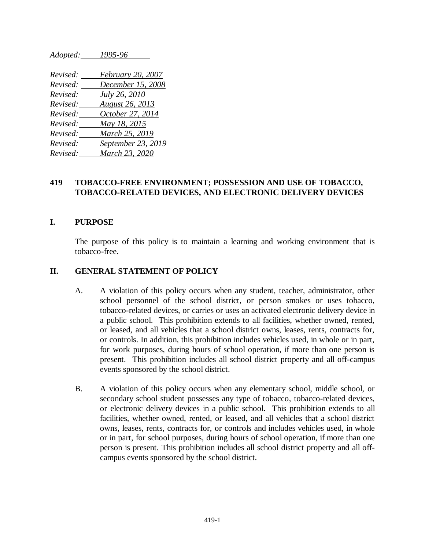*Revised: February 20, 2007 Revised: December 15, 2008 Revised: July 26, 2010 Revised: August 26, 2013 Revised: October 27, 2014 Revised: May 18, 2015 Revised: March 25, 2019 Revised: September 23, 2019 Revised: March 23, 2020*

*Adopted: 1995-96*

## **419 TOBACCO-FREE ENVIRONMENT; POSSESSION AND USE OF TOBACCO, TOBACCO-RELATED DEVICES, AND ELECTRONIC DELIVERY DEVICES**

#### **I. PURPOSE**

The purpose of this policy is to maintain a learning and working environment that is tobacco-free.

#### **II. GENERAL STATEMENT OF POLICY**

- A. A violation of this policy occurs when any student, teacher, administrator, other school personnel of the school district, or person smokes or uses tobacco, tobacco-related devices, or carries or uses an activated electronic delivery device in a public school. This prohibition extends to all facilities, whether owned, rented, or leased, and all vehicles that a school district owns, leases, rents, contracts for, or controls. In addition, this prohibition includes vehicles used, in whole or in part, for work purposes, during hours of school operation, if more than one person is present. This prohibition includes all school district property and all off-campus events sponsored by the school district.
- B. A violation of this policy occurs when any elementary school, middle school, or secondary school student possesses any type of tobacco, tobacco-related devices, or electronic delivery devices in a public school. This prohibition extends to all facilities, whether owned, rented, or leased, and all vehicles that a school district owns, leases, rents, contracts for, or controls and includes vehicles used, in whole or in part, for school purposes, during hours of school operation, if more than one person is present. This prohibition includes all school district property and all offcampus events sponsored by the school district.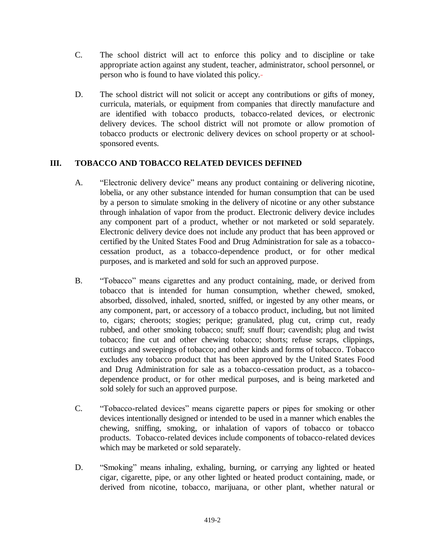- C. The school district will act to enforce this policy and to discipline or take appropriate action against any student, teacher, administrator, school personnel, or person who is found to have violated this policy.
- D. The school district will not solicit or accept any contributions or gifts of money, curricula, materials, or equipment from companies that directly manufacture and are identified with tobacco products, tobacco-related devices, or electronic delivery devices. The school district will not promote or allow promotion of tobacco products or electronic delivery devices on school property or at schoolsponsored events.

## **III. TOBACCO AND TOBACCO RELATED DEVICES DEFINED**

- A. "Electronic delivery device" means any product containing or delivering nicotine, lobelia, or any other substance intended for human consumption that can be used by a person to simulate smoking in the delivery of nicotine or any other substance through inhalation of vapor from the product. Electronic delivery device includes any component part of a product, whether or not marketed or sold separately. Electronic delivery device does not include any product that has been approved or certified by the United States Food and Drug Administration for sale as a tobaccocessation product, as a tobacco-dependence product, or for other medical purposes, and is marketed and sold for such an approved purpose.
- B. "Tobacco" means cigarettes and any product containing, made, or derived from tobacco that is intended for human consumption, whether chewed, smoked, absorbed, dissolved, inhaled, snorted, sniffed, or ingested by any other means, or any component, part, or accessory of a tobacco product, including, but not limited to, cigars; cheroots; stogies; perique; granulated, plug cut, crimp cut, ready rubbed, and other smoking tobacco; snuff; snuff flour; cavendish; plug and twist tobacco; fine cut and other chewing tobacco; shorts; refuse scraps, clippings, cuttings and sweepings of tobacco; and other kinds and forms of tobacco. Tobacco excludes any tobacco product that has been approved by the United States Food and Drug Administration for sale as a tobacco-cessation product, as a tobaccodependence product, or for other medical purposes, and is being marketed and sold solely for such an approved purpose.
- C. "Tobacco-related devices" means cigarette papers or pipes for smoking or other devices intentionally designed or intended to be used in a manner which enables the chewing, sniffing, smoking, or inhalation of vapors of tobacco or tobacco products. Tobacco-related devices include components of tobacco-related devices which may be marketed or sold separately.
- D. "Smoking" means inhaling, exhaling, burning, or carrying any lighted or heated cigar, cigarette, pipe, or any other lighted or heated product containing, made, or derived from nicotine, tobacco, marijuana, or other plant, whether natural or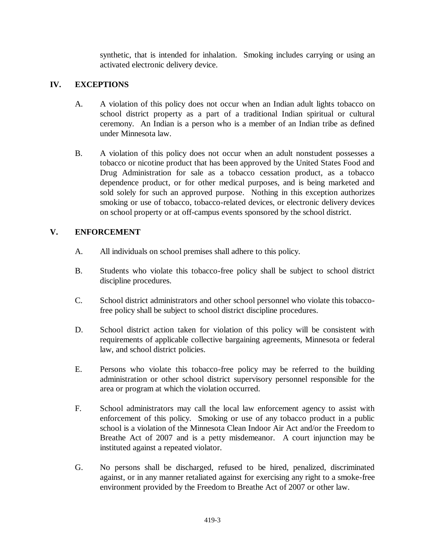synthetic, that is intended for inhalation. Smoking includes carrying or using an activated electronic delivery device.

## **IV. EXCEPTIONS**

- A. A violation of this policy does not occur when an Indian adult lights tobacco on school district property as a part of a traditional Indian spiritual or cultural ceremony. An Indian is a person who is a member of an Indian tribe as defined under Minnesota law.
- B. A violation of this policy does not occur when an adult nonstudent possesses a tobacco or nicotine product that has been approved by the United States Food and Drug Administration for sale as a tobacco cessation product, as a tobacco dependence product, or for other medical purposes, and is being marketed and sold solely for such an approved purpose. Nothing in this exception authorizes smoking or use of tobacco, tobacco-related devices, or electronic delivery devices on school property or at off-campus events sponsored by the school district.

## **V. ENFORCEMENT**

- A. All individuals on school premises shall adhere to this policy.
- B. Students who violate this tobacco-free policy shall be subject to school district discipline procedures.
- C. School district administrators and other school personnel who violate this tobaccofree policy shall be subject to school district discipline procedures.
- D. School district action taken for violation of this policy will be consistent with requirements of applicable collective bargaining agreements, Minnesota or federal law, and school district policies.
- E. Persons who violate this tobacco-free policy may be referred to the building administration or other school district supervisory personnel responsible for the area or program at which the violation occurred.
- F. School administrators may call the local law enforcement agency to assist with enforcement of this policy. Smoking or use of any tobacco product in a public school is a violation of the Minnesota Clean Indoor Air Act and/or the Freedom to Breathe Act of 2007 and is a petty misdemeanor. A court injunction may be instituted against a repeated violator.
- G. No persons shall be discharged, refused to be hired, penalized, discriminated against, or in any manner retaliated against for exercising any right to a smoke-free environment provided by the Freedom to Breathe Act of 2007 or other law.